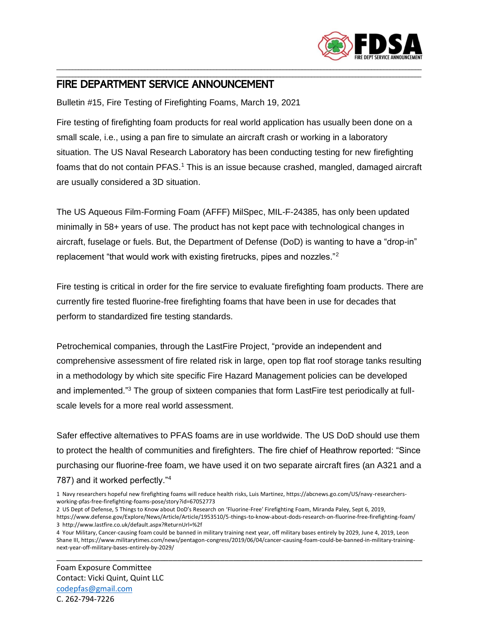

## \_\_\_\_\_\_\_\_\_\_\_\_\_\_\_\_\_\_\_\_\_\_\_\_\_\_\_\_\_\_\_\_\_\_\_\_\_\_\_\_\_\_\_\_\_\_\_\_\_\_\_\_\_\_\_\_\_\_\_\_\_\_\_\_\_\_\_\_\_\_\_\_\_\_\_\_\_\_\_\_\_\_\_\_\_\_\_\_\_\_\_\_\_\_\_\_\_\_\_\_\_\_\_\_\_\_\_\_\_\_\_\_\_\_\_\_ FIRE DEPARTMENT SERVICE ANNOUNCEMENT

Bulletin #15, Fire Testing of Firefighting Foams, March 19, 2021

Fire testing of firefighting foam products for real world application has usually been done on a small scale, i.e., using a pan fire to simulate an aircraft crash or working in a laboratory situation. The US Naval Research Laboratory has been conducting testing for new firefighting foams that do not contain PFAS.<sup>1</sup> This is an issue because crashed, mangled, damaged aircraft are usually considered a 3D situation.

\_\_\_\_\_\_\_\_\_\_\_\_\_\_\_\_\_\_\_\_\_\_\_\_\_\_\_\_\_\_\_\_\_\_\_\_\_\_\_\_\_\_\_\_\_\_\_\_\_\_\_\_\_\_\_\_\_\_\_\_\_\_\_\_\_\_\_\_\_\_\_\_\_\_\_\_\_\_\_\_\_\_\_\_\_\_\_\_\_\_\_\_\_\_\_\_\_\_\_\_\_\_\_\_\_\_\_\_\_\_\_\_\_\_\_\_

The US Aqueous Film-Forming Foam (AFFF) MilSpec, MIL-F-24385, has only been updated minimally in 58+ years of use. The product has not kept pace with technological changes in aircraft, fuselage or fuels. But, the Department of Defense (DoD) is wanting to have a "drop-in" replacement "that would work with existing firetrucks, pipes and nozzles."<sup>2</sup>

Fire testing is critical in order for the fire service to evaluate firefighting foam products. There are currently fire tested fluorine-free firefighting foams that have been in use for decades that perform to standardized fire testing standards.

Petrochemical companies, through the LastFire Project, "provide an independent and comprehensive assessment of fire related risk in large, open top flat roof storage tanks resulting in a methodology by which site specific Fire Hazard Management policies can be developed and implemented."<sup>3</sup> The group of sixteen companies that form LastFire test periodically at fullscale levels for a more real world assessment.

Safer effective alternatives to PFAS foams are in use worldwide. The US DoD should use them to protect the health of communities and firefighters. The fire chief of Heathrow reported: "Since purchasing our fluorine-free foam, we have used it on two separate aircraft fires (an A321 and a 787) and it worked perfectly."<sup>4</sup>

- 1 Navy researchers hopeful new firefighting foams will reduce health risks, Luis Martinez, https://abcnews.go.com/US/navy-researchersworking-pfas-free-firefighting-foams-pose/story?id=67052773
- 2 US Dept of Defense, 5 Things to Know about DoD's Research on 'Fluorine-Free' Firefighting Foam, Miranda Paley, Sept 6, 2019, https://www.defense.gov/Explore/News/Article/Article/1953510/5-things-to-know-about-dods-research-on-fluorine-free-firefighting-foam/ 3 http://www.lastfire.co.uk/default.aspx?ReturnUrl=%2f
- 4 Your Military, Cancer-causing foam could be banned in military training next year, off military bases entirely by 2029, June 4, 2019, Leon Shane III, https://www.militarytimes.com/news/pentagon-congress/2019/06/04/cancer-causing-foam-could-be-banned-in-military-trainingnext-year-off-military-bases-entirely-by-2029/

\_\_\_\_\_\_\_\_\_\_\_\_\_\_\_\_\_\_\_\_\_\_\_\_\_\_\_\_\_\_\_\_\_\_\_\_\_\_\_\_\_\_\_\_\_\_\_\_\_\_\_\_\_\_\_\_\_\_\_\_\_\_\_\_\_\_\_\_\_\_\_\_\_\_\_\_\_\_\_\_\_\_\_\_\_

Foam Exposure Committee Contact: Vicki Quint, Quint LLC [codepfas@gmail.com](mailto:codepfas@gmail.com) C. 262-794-7226